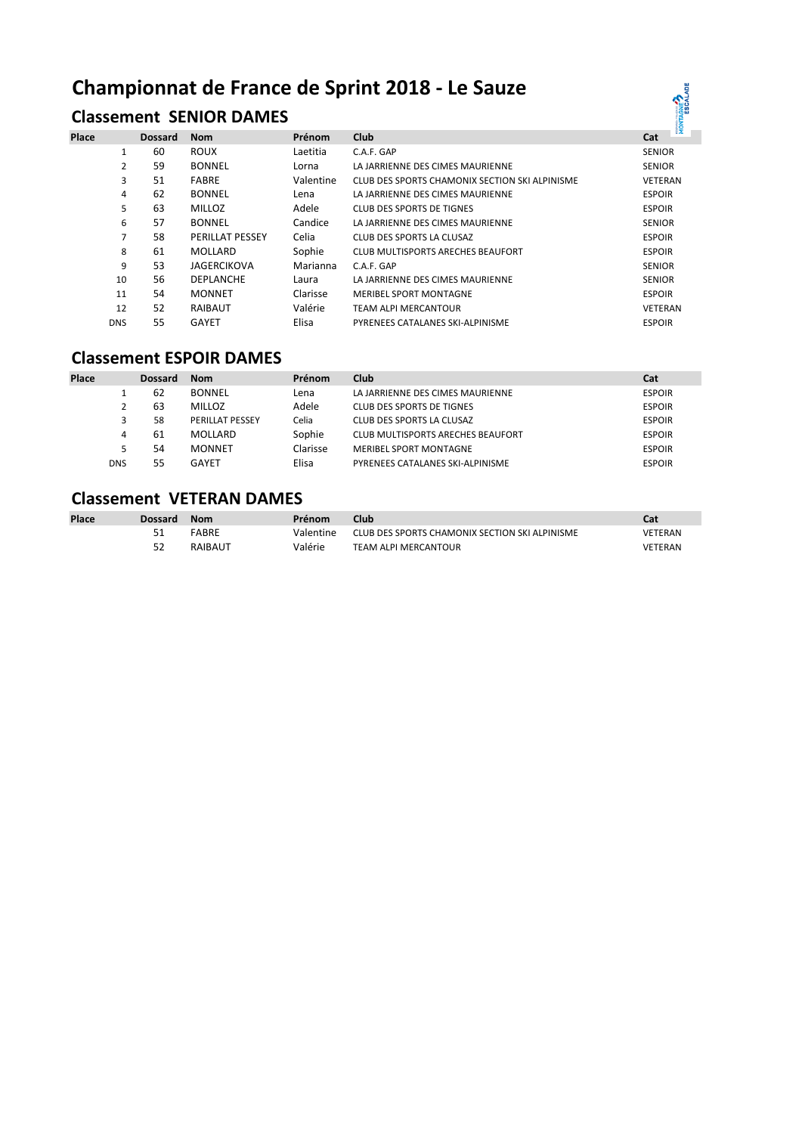# **Championnat de France de Sprint 2018 - Le Sauze**

# **Classement SENIOR DAMES**

| Place |            | <b>Dossard</b> | <b>Nom</b>         | Prénom    | Club                                           | <b>E25</b><br>Cat |
|-------|------------|----------------|--------------------|-----------|------------------------------------------------|-------------------|
|       | 1          | 60             | <b>ROUX</b>        | Laetitia  | C.A.F. GAP                                     | <b>SENIOR</b>     |
|       | 2          | 59             | <b>BONNEL</b>      | Lorna     | LA JARRIENNE DES CIMES MAURIENNE               | <b>SENIOR</b>     |
|       | 3          | 51             | <b>FABRE</b>       | Valentine | CLUB DES SPORTS CHAMONIX SECTION SKI ALPINISME | <b>VETERAN</b>    |
|       | 4          | 62             | <b>BONNEL</b>      | Lena      | LA JARRIENNE DES CIMES MAURIENNE               | <b>ESPOIR</b>     |
|       | 5          | 63             | <b>MILLOZ</b>      | Adele     | CLUB DES SPORTS DE TIGNES                      | <b>ESPOIR</b>     |
|       | 6          | 57             | <b>BONNEL</b>      | Candice   | LA JARRIENNE DES CIMES MAURIENNE               | <b>SENIOR</b>     |
|       | 7          | 58             | PERILLAT PESSEY    | Celia     | CLUB DES SPORTS LA CLUSAZ                      | <b>ESPOIR</b>     |
|       | 8          | 61             | MOLLARD            | Sophie    | <b>CLUB MULTISPORTS ARECHES BEAUFORT</b>       | <b>ESPOIR</b>     |
|       | 9          | 53             | <b>JAGERCIKOVA</b> | Marianna  | C.A.F. GAP                                     | <b>SENIOR</b>     |
|       | 10         | 56             | <b>DEPLANCHE</b>   | Laura     | LA JARRIENNE DES CIMES MAURIENNE               | <b>SENIOR</b>     |
|       | 11         | 54             | <b>MONNET</b>      | Clarisse  | MERIBEL SPORT MONTAGNE                         | <b>ESPOIR</b>     |
|       | 12         | 52             | RAIBAUT            | Valérie   | TEAM ALPI MERCANTOUR                           | <b>VETERAN</b>    |
|       | <b>DNS</b> | 55             | <b>GAYET</b>       | Elisa     | PYRENEES CATALANES SKI-ALPINISME               | <b>ESPOIR</b>     |

ONTAGNE<sup>2</sup>

#### **Classement ESPOIR DAMES**

| <b>Place</b> |            | <b>Dossard</b> | <b>Nom</b>             | Prénom   | Club                              | Cat           |
|--------------|------------|----------------|------------------------|----------|-----------------------------------|---------------|
|              |            | -62            | <b>BONNEL</b>          | Lena     | LA JARRIENNE DES CIMES MAURIENNE  | <b>ESPOIR</b> |
|              |            | 63             | <b>MILLOZ</b>          | Adele    | CLUB DES SPORTS DE TIGNES         | <b>ESPOIR</b> |
|              | 3          | 58             | <b>PERILLAT PESSEY</b> | Celia    | CLUB DES SPORTS LA CLUSAZ         | <b>ESPOIR</b> |
|              | 4          | -61            | MOLLARD                | Sophie   | CLUB MULTISPORTS ARECHES BEAUFORT | <b>ESPOIR</b> |
|              | 5          | 54             | <b>MONNET</b>          | Clarisse | MERIBEL SPORT MONTAGNE            | <b>ESPOIR</b> |
|              | <b>DNS</b> | 55             | GAYET                  | Elisa    | PYRENEES CATALANES SKI-ALPINISME  | <b>ESPOIR</b> |

## **Classement VETERAN DAMES**

| <b>Place</b> | Dossard | Nom     | Prénom    | Club                                           | Cat            |
|--------------|---------|---------|-----------|------------------------------------------------|----------------|
|              |         | FABRE   | Valentine | CLUB DES SPORTS CHAMONIX SECTION SKI ALPINISME | <b>VETERAN</b> |
|              | 52      | RAIBAUT | Valérie   | <b>TEAM ALPI MERCANTOUR</b>                    | VETERAN        |